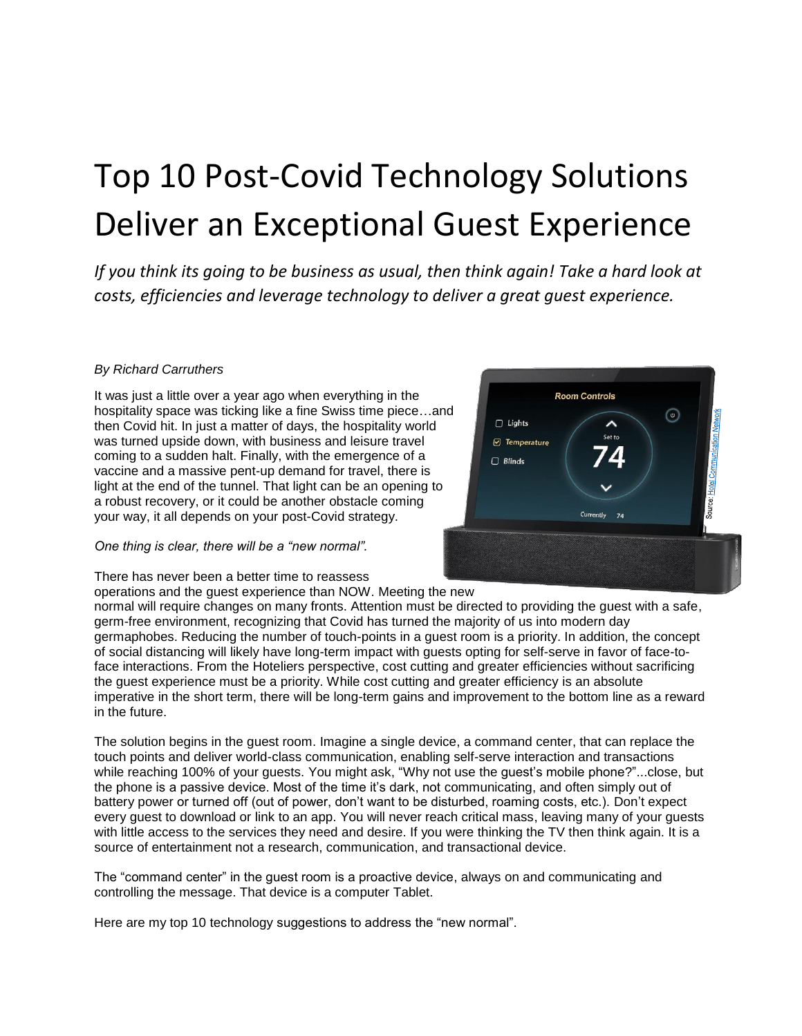# Top 10 Post-Covid Technology Solutions Deliver an Exceptional Guest Experience

*If you think its going to be business as usual, then think again! Take a hard look at costs, efficiencies and leverage technology to deliver a great guest experience.*

# *By Richard Carruthers*

It was just a little over a year ago when everything in the hospitality space was ticking like a fine Swiss time piece…and then Covid hit. In just a matter of days, the hospitality world was turned upside down, with business and leisure travel coming to a sudden halt. Finally, with the emergence of a vaccine and a massive pent-up demand for travel, there is light at the end of the tunnel. That light can be an opening to a robust recovery, or it could be another obstacle coming your way, it all depends on your post-Covid strategy.

*One thing is clear, there will be a "new normal".*

There has never been a better time to reassess

operations and the guest experience than NOW. Meeting the new



normal will require changes on many fronts. Attention must be directed to providing the guest with a safe, germ-free environment, recognizing that Covid has turned the majority of us into modern day germaphobes. Reducing the number of touch-points in a guest room is a priority. In addition, the concept of social distancing will likely have long-term impact with guests opting for self-serve in favor of face-toface interactions. From the Hoteliers perspective, cost cutting and greater efficiencies without sacrificing the guest experience must be a priority. While cost cutting and greater efficiency is an absolute imperative in the short term, there will be long-term gains and improvement to the bottom line as a reward in the future.

The solution begins in the guest room. Imagine a single device, a command center, that can replace the touch points and deliver world-class communication, enabling self-serve interaction and transactions while reaching 100% of your guests. You might ask, "Why not use the guest's mobile phone?"...close, but the phone is a passive device. Most of the time it's dark, not communicating, and often simply out of battery power or turned off (out of power, don't want to be disturbed, roaming costs, etc.). Don't expect every guest to download or link to an app. You will never reach critical mass, leaving many of your guests with little access to the services they need and desire. If you were thinking the TV then think again. It is a source of entertainment not a research, communication, and transactional device.

The "command center" in the guest room is a proactive device, always on and communicating and controlling the message. That device is a computer Tablet.

Here are my top 10 technology suggestions to address the "new normal".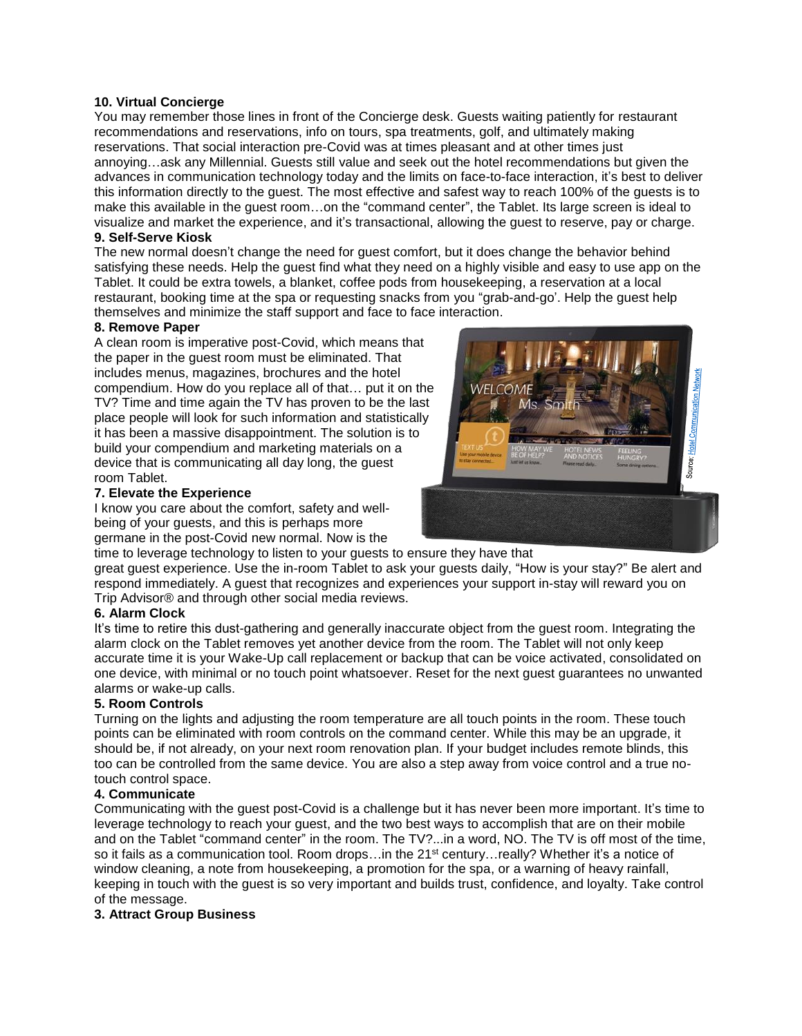# **10. Virtual Concierge**

You may remember those lines in front of the Concierge desk. Guests waiting patiently for restaurant recommendations and reservations, info on tours, spa treatments, golf, and ultimately making reservations. That social interaction pre-Covid was at times pleasant and at other times just annoying…ask any Millennial. Guests still value and seek out the hotel recommendations but given the advances in communication technology today and the limits on face-to-face interaction, it's best to deliver this information directly to the guest. The most effective and safest way to reach 100% of the guests is to make this available in the guest room…on the "command center", the Tablet. Its large screen is ideal to visualize and market the experience, and it's transactional, allowing the guest to reserve, pay or charge. **9. Self-Serve Kiosk**

The new normal doesn't change the need for guest comfort, but it does change the behavior behind satisfying these needs. Help the guest find what they need on a highly visible and easy to use app on the Tablet. It could be extra towels, a blanket, coffee pods from housekeeping, a reservation at a local restaurant, booking time at the spa or requesting snacks from you "grab-and-go". Help the quest help themselves and minimize the staff support and face to face interaction.

#### **8. Remove Paper**

A clean room is imperative post-Covid, which means that the paper in the guest room must be eliminated. That includes menus, magazines, brochures and the hotel compendium. How do you replace all of that… put it on the TV? Time and time again the TV has proven to be the last place people will look for such information and statistically it has been a massive disappointment. The solution is to build your compendium and marketing materials on a device that is communicating all day long, the guest room Tablet.

#### **7. Elevate the Experience**

I know you care about the comfort, safety and wellbeing of your guests, and this is perhaps more germane in the post-Covid new normal. Now is the



time to leverage technology to listen to your guests to ensure they have that great guest experience. Use the in-room Tablet to ask your guests daily, "How is your stay?" Be alert and respond immediately. A guest that recognizes and experiences your support in-stay will reward you on Trip Advisor® and through other social media reviews.

#### **6. Alarm Clock**

It's time to retire this dust-gathering and generally inaccurate object from the guest room. Integrating the alarm clock on the Tablet removes yet another device from the room. The Tablet will not only keep accurate time it is your Wake-Up call replacement or backup that can be voice activated, consolidated on one device, with minimal or no touch point whatsoever. Reset for the next guest guarantees no unwanted alarms or wake-up calls.

#### **5. Room Controls**

Turning on the lights and adjusting the room temperature are all touch points in the room. These touch points can be eliminated with room controls on the command center. While this may be an upgrade, it should be, if not already, on your next room renovation plan. If your budget includes remote blinds, this too can be controlled from the same device. You are also a step away from voice control and a true notouch control space.

#### **4. Communicate**

Communicating with the guest post-Covid is a challenge but it has never been more important. It's time to leverage technology to reach your guest, and the two best ways to accomplish that are on their mobile and on the Tablet "command center" in the room. The TV?...in a word, NO. The TV is off most of the time, so it fails as a communication tool. Room drops...in the 21<sup>st</sup> century...really? Whether it's a notice of window cleaning, a note from housekeeping, a promotion for the spa, or a warning of heavy rainfall, keeping in touch with the guest is so very important and builds trust, confidence, and loyalty. Take control of the message.

#### **3. Attract Group Business**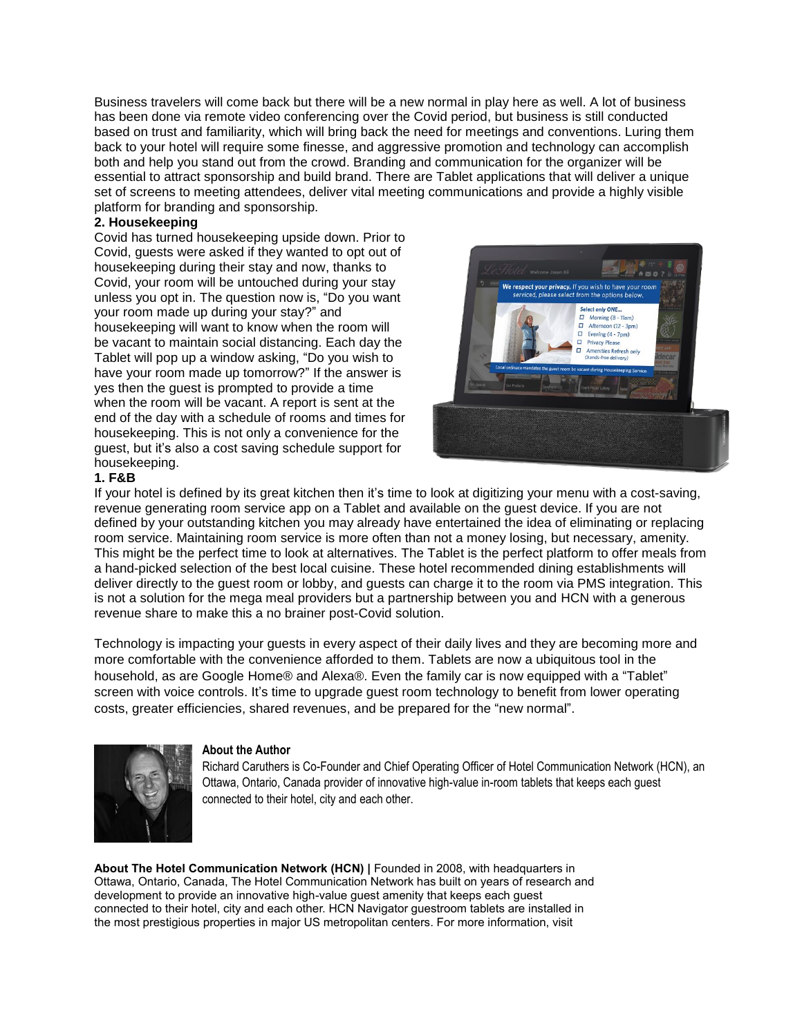Business travelers will come back but there will be a new normal in play here as well. A lot of business has been done via remote video conferencing over the Covid period, but business is still conducted based on trust and familiarity, which will bring back the need for meetings and conventions. Luring them back to your hotel will require some finesse, and aggressive promotion and technology can accomplish both and help you stand out from the crowd. Branding and communication for the organizer will be essential to attract sponsorship and build brand. There are Tablet applications that will deliver a unique set of screens to meeting attendees, deliver vital meeting communications and provide a highly visible platform for branding and sponsorship.

### **2. Housekeeping**

Covid has turned housekeeping upside down. Prior to Covid, guests were asked if they wanted to opt out of housekeeping during their stay and now, thanks to Covid, your room will be untouched during your stay unless you opt in. The question now is, "Do you want your room made up during your stay?" and housekeeping will want to know when the room will be vacant to maintain social distancing. Each day the Tablet will pop up a window asking, "Do you wish to have your room made up tomorrow?" If the answer is yes then the guest is prompted to provide a time when the room will be vacant. A report is sent at the end of the day with a schedule of rooms and times for housekeeping. This is not only a convenience for the guest, but it's also a cost saving schedule support for housekeeping.



#### **1. F&B**

If your hotel is defined by its great kitchen then it's time to look at digitizing your menu with a cost-saving, revenue generating room service app on a Tablet and available on the guest device. If you are not defined by your outstanding kitchen you may already have entertained the idea of eliminating or replacing room service. Maintaining room service is more often than not a money losing, but necessary, amenity. This might be the perfect time to look at alternatives. The Tablet is the perfect platform to offer meals from a hand-picked selection of the best local cuisine. These hotel recommended dining establishments will deliver directly to the guest room or lobby, and guests can charge it to the room via PMS integration. This is not a solution for the mega meal providers but a partnership between you and HCN with a generous revenue share to make this a no brainer post-Covid solution.

Technology is impacting your guests in every aspect of their daily lives and they are becoming more and more comfortable with the convenience afforded to them. Tablets are now a ubiquitous tool in the household, as are Google Home® and Alexa®. Even the family car is now equipped with a "Tablet" screen with voice controls. It's time to upgrade guest room technology to benefit from lower operating costs, greater efficiencies, shared revenues, and be prepared for the "new normal".



#### **About the Author**

Richard Caruthers is Co-Founder and Chief Operating Officer of Hotel Communication Network (HCN), an Ottawa, Ontario, Canada provider of innovative high-value in-room tablets that keeps each guest connected to their hotel, city and each other.

**About The Hotel Communication Network (HCN) |** Founded in 2008, with headquarters in Ottawa, Ontario, Canada, The Hotel Communication Network has built on years of research and development to provide an innovative high-value guest amenity that keeps each guest connected to their hotel, city and each other. HCN Navigator guestroom tablets are installed in the most prestigious properties in major US metropolitan centers. For more information, visit